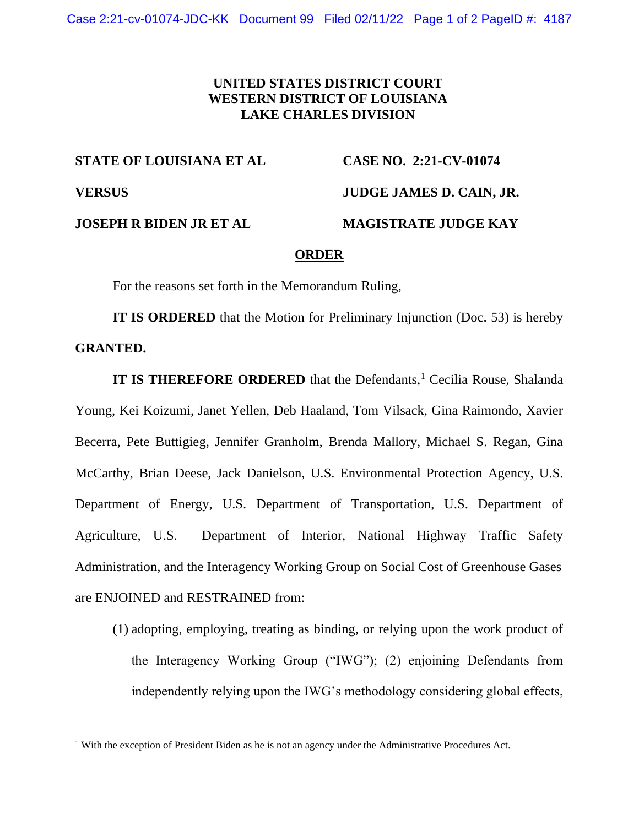## **UNITED STATES DISTRICT COURT WESTERN DISTRICT OF LOUISIANA LAKE CHARLES DIVISION**

**STATE OF LOUISIANA ET AL CASE NO. 2:21-CV-01074 VERSUS JUDGE JAMES D. CAIN, JR. JOSEPH R BIDEN JR ET AL MAGISTRATE JUDGE KAY**

## **ORDER**

For the reasons set forth in the Memorandum Ruling,

**IT IS ORDERED** that the Motion for Preliminary Injunction (Doc. 53) is hereby **GRANTED.**

**IT IS THEREFORE ORDERED** that the Defendants,<sup>1</sup> Cecilia Rouse, Shalanda Young, Kei Koizumi, Janet Yellen, Deb Haaland, Tom Vilsack, Gina Raimondo, Xavier Becerra, Pete Buttigieg, Jennifer Granholm, Brenda Mallory, Michael S. Regan, Gina McCarthy, Brian Deese, Jack Danielson, U.S. Environmental Protection Agency, U.S. Department of Energy, U.S. Department of Transportation, U.S. Department of Agriculture, U.S. Department of Interior, National Highway Traffic Safety Administration, and the Interagency Working Group on Social Cost of Greenhouse Gases are ENJOINED and RESTRAINED from:

(1) adopting, employing, treating as binding, or relying upon the work product of the Interagency Working Group ("IWG"); (2) enjoining Defendants from independently relying upon the IWG's methodology considering global effects,

<sup>1</sup> With the exception of President Biden as he is not an agency under the Administrative Procedures Act.